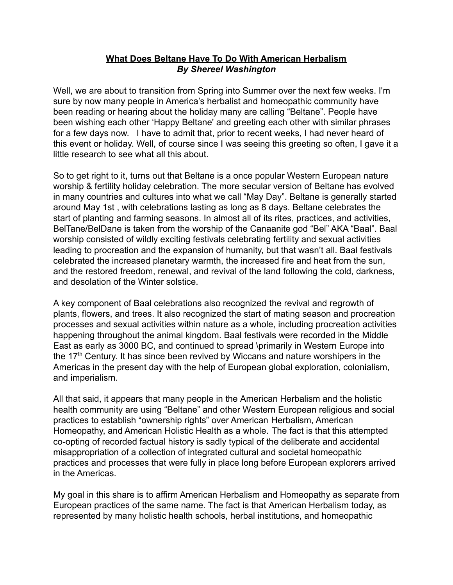## **What Does Beltane Have To Do With American Herbalism** *By Shereel Washington*

Well, we are about to transition from Spring into Summer over the next few weeks. I'm sure by now many people in America's herbalist and homeopathic community have been reading or hearing about the holiday many are calling "Beltane". People have been wishing each other 'Happy Beltane' and greeting each other with similar phrases for a few days now. I have to admit that, prior to recent weeks, I had never heard of this event or holiday. Well, of course since I was seeing this greeting so often, I gave it a little research to see what all this about.

So to get right to it, turns out that Beltane is a once popular Western European nature worship & fertility holiday celebration. The more secular version of Beltane has evolved in many countries and cultures into what we call "May Day". Beltane is generally started around May 1st , with celebrations lasting as long as 8 days. Beltane celebrates the start of planting and farming seasons. In almost all of its rites, practices, and activities, BelTane/BelDane is taken from the worship of the Canaanite god "Bel" AKA "Baal". Baal worship consisted of wildly exciting festivals celebrating fertility and sexual activities leading to procreation and the expansion of humanity, but that wasn't all. Baal festivals celebrated the increased planetary warmth, the increased fire and heat from the sun, and the restored freedom, renewal, and revival of the land following the cold, darkness, and desolation of the Winter solstice.

A key component of Baal celebrations also recognized the revival and regrowth of plants, flowers, and trees. It also recognized the start of mating season and procreation processes and sexual activities within nature as a whole, including procreation activities happening throughout the animal kingdom. Baal festivals were recorded in the Middle East as early as 3000 BC, and continued to spread \primarily in Western Europe into the  $17<sup>th</sup>$  Century. It has since been revived by Wiccans and nature worshipers in the Americas in the present day with the help of European global exploration, colonialism, and imperialism.

All that said, it appears that many people in the American Herbalism and the holistic health community are using "Beltane" and other Western European religious and social practices to establish "ownership rights" over American Herbalism, American Homeopathy, and American Holistic Health as a whole. The fact is that this attempted co-opting of recorded factual history is sadly typical of the deliberate and accidental misappropriation of a collection of integrated cultural and societal homeopathic practices and processes that were fully in place long before European explorers arrived in the Americas.

My goal in this share is to affirm American Herbalism and Homeopathy as separate from European practices of the same name. The fact is that American Herbalism today, as represented by many holistic health schools, herbal institutions, and homeopathic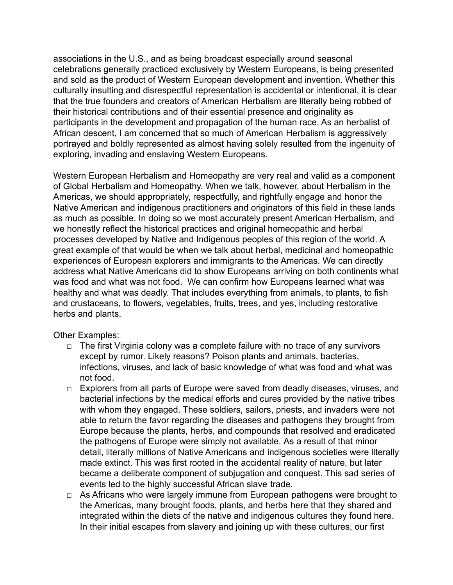associations in the U.S., and as being broadcast especially around seasonal celebrations generally practiced exclusively by Western Europeans, is being presented and sold as the product of Western European development and invention. Whether this culturally insulting and disrespectful representation is accidental or intentional, it is clear that the true founders and creators of American Herbalism are literally being robbed of their historical contributions and of their essential presence and originality as participants in the development and propagation of the human race. As an herbalist of African descent, I am concerned that so much of American Herbalism is aggressively portrayed and boldly represented as almost having solely resulted from the ingenuity of exploring, invading and enslaving Western Europeans.

Western European Herbalism and Homeopathy are very real and valid as a component of Global Herbalism and Homeopathy. When we talk, however, about Herbalism in the Americas, we should appropriately, respectfully, and rightfully engage and honor the Native American and indigenous practitioners and originators of this field in these lands as much as possible. In doing so we most accurately present American Herbalism, and we honestly reflect the historical practices and original homeopathic and herbal processes developed by Native and Indigenous peoples of this region of the world. A great example of that would be when we talk about herbal, medicinal and homeopathic experiences of European explorers and immigrants to the Americas. We can directly address what Native Americans did to show Europeans arriving on both continents what was food and what was not food. We can confirm how Europeans learned what was healthy and what was deadly. That includes everything from animals, to plants, to fish and crustaceans, to flowers, vegetables, fruits, trees, and yes, including restorative herbs and plants.

Other Examples:

- $\Box$  The first Virginia colony was a complete failure with no trace of any survivors except by rumor. Likely reasons? Poison plants and animals, bacterias, infections, viruses, and lack of basic knowledge of what was food and what was not food.
- □ Explorers from all parts of Europe were saved from deadly diseases, viruses, and bacterial infections by the medical efforts and cures provided by the native tribes with whom they engaged. These soldiers, sailors, priests, and invaders were not able to return the favor regarding the diseases and pathogens they brought from Europe because the plants, herbs, and compounds that resolved and eradicated the pathogens of Europe were simply not available. As a result of that minor detail, literally millions of Native Americans and indigenous societies were literally made extinct. This was first rooted in the accidental reality of nature, but later became a deliberate component of subjugation and conquest. This sad series of events led to the highly successful African slave trade.
- $\Box$  As Africans who were largely immune from European pathogens were brought to the Americas, many brought foods, plants, and herbs here that they shared and integrated within the diets of the native and indigenous cultures they found here. In their initial escapes from slavery and joining up with these cultures, our first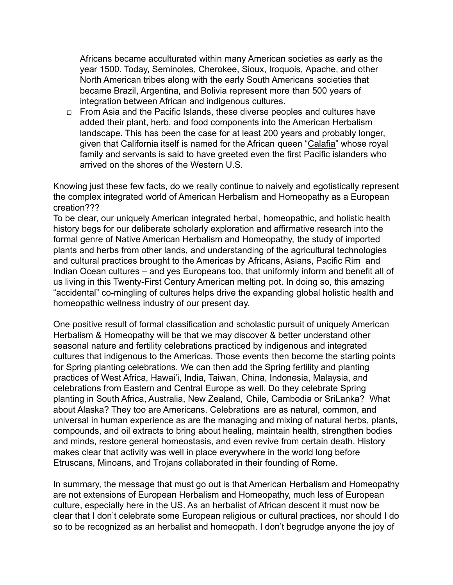Africans became acculturated within many American societies as early as the year 1500. Today, Seminoles, Cherokee, Sioux, Iroquois, Apache, and other North American tribes along with the early South Americans societies that became Brazil, Argentina, and Bolivia represent more than 500 years of integration between African and indigenous cultures.

 $\Box$  From Asia and the Pacific Islands, these diverse peoples and cultures have added their plant, herb, and food components into the American Herbalism landscape. This has been the case for at least 200 years and probably longer, given that California itself is named for the African queen ["Calafia"](https://en.wikipedia.org/wiki/Calafia) whose royal family and servants is said to have greeted even the first Pacific islanders who arrived on the shores of the Western U.S.

Knowing just these few facts, do we really continue to naively and egotistically represent the complex integrated world of American Herbalism and Homeopathy as a European creation???

To be clear, our uniquely American integrated herbal, homeopathic, and holistic health history begs for our deliberate scholarly exploration and affirmative research into the formal genre of Native American Herbalism and Homeopathy, the study of imported plants and herbs from other lands, and understanding of the agricultural technologies and cultural practices brought to the Americas by Africans, Asians, Pacific Rim and Indian Ocean cultures – and yes Europeans too, that uniformly inform and benefit all of us living in this Twenty-First Century American melting pot. In doing so, this amazing "accidental" co-mingling of cultures helps drive the expanding global holistic health and homeopathic wellness industry of our present day.

One positive result of formal classification and scholastic pursuit of uniquely American Herbalism & Homeopathy will be that we may discover & better understand other seasonal nature and fertility celebrations practiced by indigenous and integrated cultures that indigenous to the Americas. Those events then become the starting points for Spring planting celebrations. We can then add the Spring fertility and planting practices of West Africa, Hawai'i, India, Taiwan, China, Indonesia, Malaysia, and celebrations from Eastern and Central Europe as well. Do they celebrate Spring planting in South Africa, Australia, New Zealand, Chile, Cambodia or SriLanka? What about Alaska? They too are Americans. Celebrations are as natural, common, and universal in human experience as are the managing and mixing of natural herbs, plants, compounds, and oil extracts to bring about healing, maintain health, strengthen bodies and minds, restore general homeostasis, and even revive from certain death. History makes clear that activity was well in place everywhere in the world long before Etruscans, Minoans, and Trojans collaborated in their founding of Rome.

In summary, the message that must go out is that American Herbalism and Homeopathy are not extensions of European Herbalism and Homeopathy, much less of European culture, especially here in the US. As an herbalist of African descent it must now be clear that I don't celebrate some European religious or cultural practices, nor should I do so to be recognized as an herbalist and homeopath. I don't begrudge anyone the joy of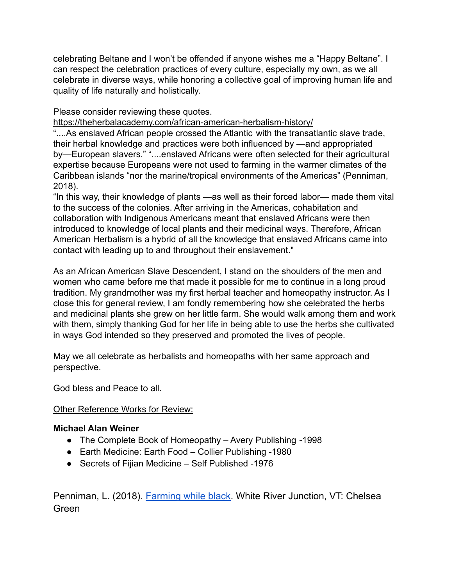celebrating Beltane and I won't be offended if anyone wishes me a "Happy Beltane". I can respect the celebration practices of every culture, especially my own, as we all celebrate in diverse ways, while honoring a collective goal of improving human life and quality of life naturally and holistically.

Please consider reviewing these quotes.

<https://theherbalacademy.com/african-american-herbalism-history/>

"....As enslaved African people crossed the Atlantic with the transatlantic slave trade, their herbal knowledge and practices were both influenced by —and appropriated by—European slavers." "....enslaved Africans were often selected for their agricultural expertise because Europeans were not used to farming in the warmer climates of the Caribbean islands "nor the marine/tropical environments of the Americas" (Penniman, 2018).

"In this way, their knowledge of plants —as well as their forced labor— made them vital to the success of the colonies. After arriving in the Americas, cohabitation and collaboration with Indigenous Americans meant that enslaved Africans were then introduced to knowledge of local plants and their medicinal ways. Therefore, African American Herbalism is a hybrid of all the knowledge that enslaved Africans came into contact with leading up to and throughout their enslavement."

As an African American Slave Descendent, I stand on the shoulders of the men and women who came before me that made it possible for me to continue in a long proud tradition. My grandmother was my first herbal teacher and homeopathy instructor. As I close this for general review, I am fondly remembering how she celebrated the herbs and medicinal plants she grew on her little farm. She would walk among them and work with them, simply thanking God for her life in being able to use the herbs she cultivated in ways God intended so they preserved and promoted the lives of people.

May we all celebrate as herbalists and homeopaths with her same approach and perspective.

God bless and Peace to all.

## Other Reference Works for Review:

## **Michael Alan Weiner**

- The Complete Book of Homeopathy Avery Publishing -1998
- Earth Medicine: Earth Food Collier Publishing -1980
- Secrets of Fijian Medicine Self Published -1976

Penniman, L. (2018). [Farming](https://www.amazon.com/gp/product/1603587616/ref=as_li_qf_asin_il_tl?ie=UTF8&tag=heracaofnewen-20&creative=9325&linkCode=as2&creativeASIN=1603587616&linkId=18586bd795705a12b0ff4326764cbce9) while black. White River Junction, VT: Chelsea Green